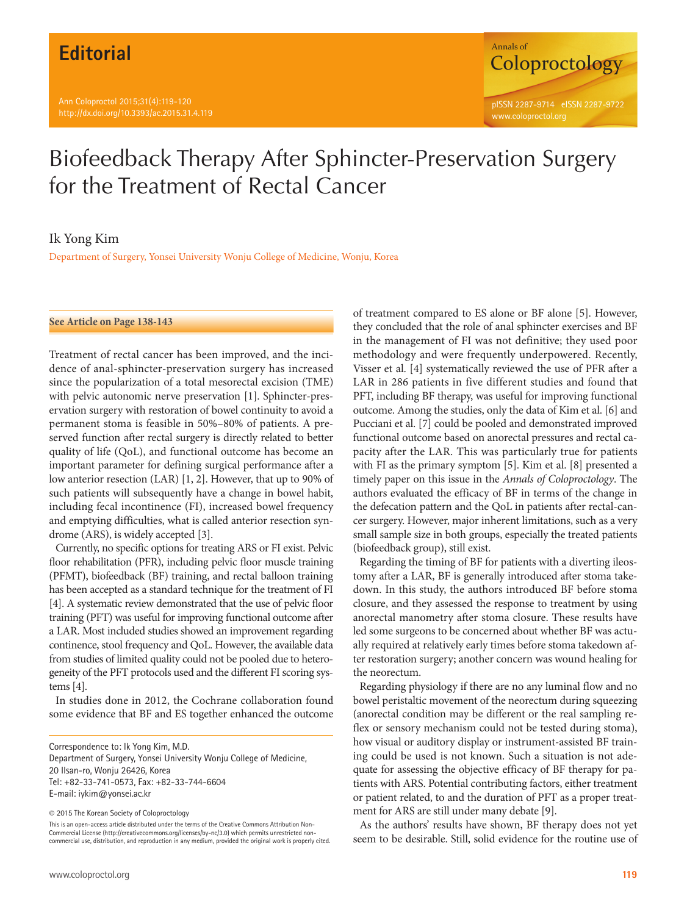

## Biofeedback Therapy After Sphincter-Preservation Surgery for the Treatment of Rectal Cancer

## Ik Yong Kim

Department of Surgery, Yonsei University Wonju College of Medicine, Wonju, Korea

**See Article on Page 138-143**

Treatment of rectal cancer has been improved, and the incidence of anal-sphincter-preservation surgery has increased since the popularization of a total mesorectal excision (TME) with pelvic autonomic nerve preservation [1]. Sphincter-preservation surgery with restoration of bowel continuity to avoid a permanent stoma is feasible in 50%–80% of patients. A preserved function after rectal surgery is directly related to better quality of life (QoL), and functional outcome has become an important parameter for defining surgical performance after a low anterior resection (LAR) [1, 2]. However, that up to 90% of such patients will subsequently have a change in bowel habit, including fecal incontinence (FI), increased bowel frequency and emptying difficulties, what is called anterior resection syndrome (ARS), is widely accepted [3].

Currently, no specific options for treating ARS or FI exist. Pelvic floor rehabilitation (PFR), including pelvic floor muscle training (PFMT), biofeedback (BF) training, and rectal balloon training has been accepted as a standard technique for the treatment of FI [4]. A systematic review demonstrated that the use of pelvic floor training (PFT) was useful for improving functional outcome after a LAR. Most included studies showed an improvement regarding continence, stool frequency and QoL. However, the available data from studies of limited quality could not be pooled due to heterogeneity of the PFT protocols used and the different FI scoring systems [4].

In studies done in 2012, the Cochrane collaboration found some evidence that BF and ES together enhanced the outcome

Correspondence to: Ik Yong Kim, M.D. Department of Surgery, Yonsei University Wonju College of Medicine, 20 Ilsan-ro, Wonju 26426, Korea Tel: +82-33-741-0573, Fax: +82-33-744-6604 E-mail: iykim@yonsei.ac.kr

© 2015 The Korean Society of Coloproctology

This is an open-access article distributed under the terms of the Creative Commons Attribution Non-Commercial License (http://creativecommons.org/licenses/by-nc/3.0) which permits unrestricted noncommercial use, distribution, and reproduction in any medium, provided the original work is properly cited. of treatment compared to ES alone or BF alone [5]. However, they concluded that the role of anal sphincter exercises and BF in the management of FI was not definitive; they used poor methodology and were frequently underpowered. Recently, Visser et al. [4] systematically reviewed the use of PFR after a LAR in 286 patients in five different studies and found that PFT, including BF therapy, was useful for improving functional outcome. Among the studies, only the data of Kim et al. [6] and Pucciani et al. [7] could be pooled and demonstrated improved functional outcome based on anorectal pressures and rectal capacity after the LAR. This was particularly true for patients with FI as the primary symptom [5]. Kim et al. [8] presented a timely paper on this issue in the *Annals of Coloproctology*. The authors evaluated the efficacy of BF in terms of the change in the defecation pattern and the QoL in patients after rectal-cancer surgery. However, major inherent limitations, such as a very small sample size in both groups, especially the treated patients (biofeedback group), still exist.

Regarding the timing of BF for patients with a diverting ileostomy after a LAR, BF is generally introduced after stoma takedown. In this study, the authors introduced BF before stoma closure, and they assessed the response to treatment by using anorectal manometry after stoma closure. These results have led some surgeons to be concerned about whether BF was actually required at relatively early times before stoma takedown after restoration surgery; another concern was wound healing for the neorectum.

Regarding physiology if there are no any luminal flow and no bowel peristaltic movement of the neorectum during squeezing (anorectal condition may be different or the real sampling reflex or sensory mechanism could not be tested during stoma), how visual or auditory display or instrument-assisted BF training could be used is not known. Such a situation is not adequate for assessing the objective efficacy of BF therapy for patients with ARS. Potential contributing factors, either treatment or patient related, to and the duration of PFT as a proper treatment for ARS are still under many debate [9].

As the authors' results have shown, BF therapy does not yet seem to be desirable. Still, solid evidence for the routine use of